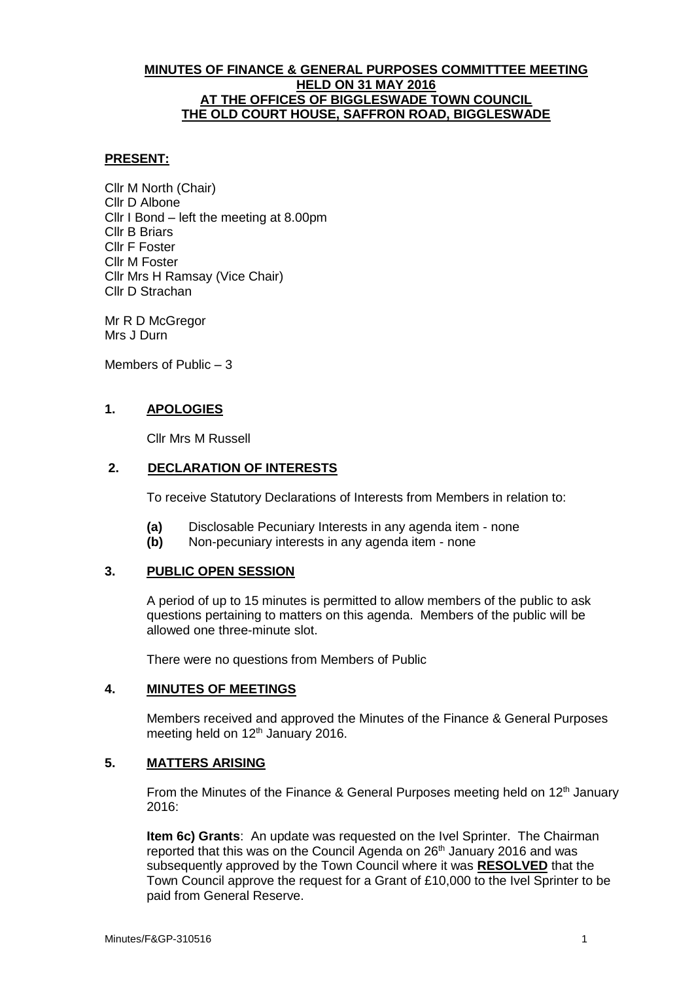## **MINUTES OF FINANCE & GENERAL PURPOSES COMMITTTEE MEETING HELD ON 31 MAY 2016 AT THE OFFICES OF BIGGLESWADE TOWN COUNCIL THE OLD COURT HOUSE, SAFFRON ROAD, BIGGLESWADE**

## **PRESENT:**

Cllr M North (Chair) Cllr D Albone Cllr I Bond – left the meeting at 8.00pm Cllr B Briars Cllr F Foster Cllr M Foster Cllr Mrs H Ramsay (Vice Chair) Cllr D Strachan

Mr R D McGregor Mrs J Durn

Members of Public – 3

# **1. APOLOGIES**

Cllr Mrs M Russell

# **2. DECLARATION OF INTERESTS**

To receive Statutory Declarations of Interests from Members in relation to:

- **(a)** Disclosable Pecuniary Interests in any agenda item none
- **(b)** Non-pecuniary interests in any agenda item none

# **3. PUBLIC OPEN SESSION**

A period of up to 15 minutes is permitted to allow members of the public to ask questions pertaining to matters on this agenda. Members of the public will be allowed one three-minute slot.

There were no questions from Members of Public

### **4. MINUTES OF MEETINGS**

Members received and approved the Minutes of the Finance & General Purposes meeting held on 12<sup>th</sup> January 2016.

# **5. MATTERS ARISING**

From the Minutes of the Finance & General Purposes meeting held on 12<sup>th</sup> January 2016:

**Item 6c) Grants**: An update was requested on the Ivel Sprinter. The Chairman reported that this was on the Council Agenda on 26<sup>th</sup> January 2016 and was subsequently approved by the Town Council where it was **RESOLVED** that the Town Council approve the request for a Grant of £10,000 to the Ivel Sprinter to be paid from General Reserve.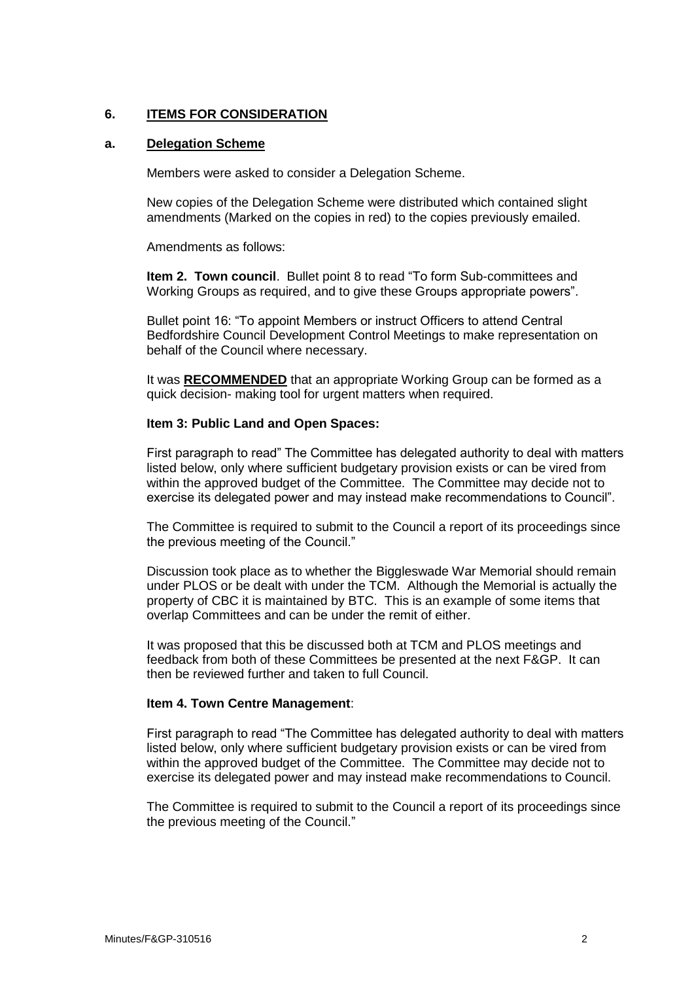# **6. ITEMS FOR CONSIDERATION**

## **a. Delegation Scheme**

Members were asked to consider a Delegation Scheme.

New copies of the Delegation Scheme were distributed which contained slight amendments (Marked on the copies in red) to the copies previously emailed.

Amendments as follows:

**Item 2. Town council**. Bullet point 8 to read "To form Sub-committees and Working Groups as required, and to give these Groups appropriate powers".

Bullet point 16: "To appoint Members or instruct Officers to attend Central Bedfordshire Council Development Control Meetings to make representation on behalf of the Council where necessary.

It was **RECOMMENDED** that an appropriate Working Group can be formed as a quick decision- making tool for urgent matters when required.

## **Item 3: Public Land and Open Spaces:**

First paragraph to read" The Committee has delegated authority to deal with matters listed below, only where sufficient budgetary provision exists or can be vired from within the approved budget of the Committee. The Committee may decide not to exercise its delegated power and may instead make recommendations to Council".

The Committee is required to submit to the Council a report of its proceedings since the previous meeting of the Council."

Discussion took place as to whether the Biggleswade War Memorial should remain under PLOS or be dealt with under the TCM. Although the Memorial is actually the property of CBC it is maintained by BTC. This is an example of some items that overlap Committees and can be under the remit of either.

It was proposed that this be discussed both at TCM and PLOS meetings and feedback from both of these Committees be presented at the next F&GP. It can then be reviewed further and taken to full Council.

### **Item 4. Town Centre Management**:

First paragraph to read "The Committee has delegated authority to deal with matters listed below, only where sufficient budgetary provision exists or can be vired from within the approved budget of the Committee. The Committee may decide not to exercise its delegated power and may instead make recommendations to Council.

The Committee is required to submit to the Council a report of its proceedings since the previous meeting of the Council."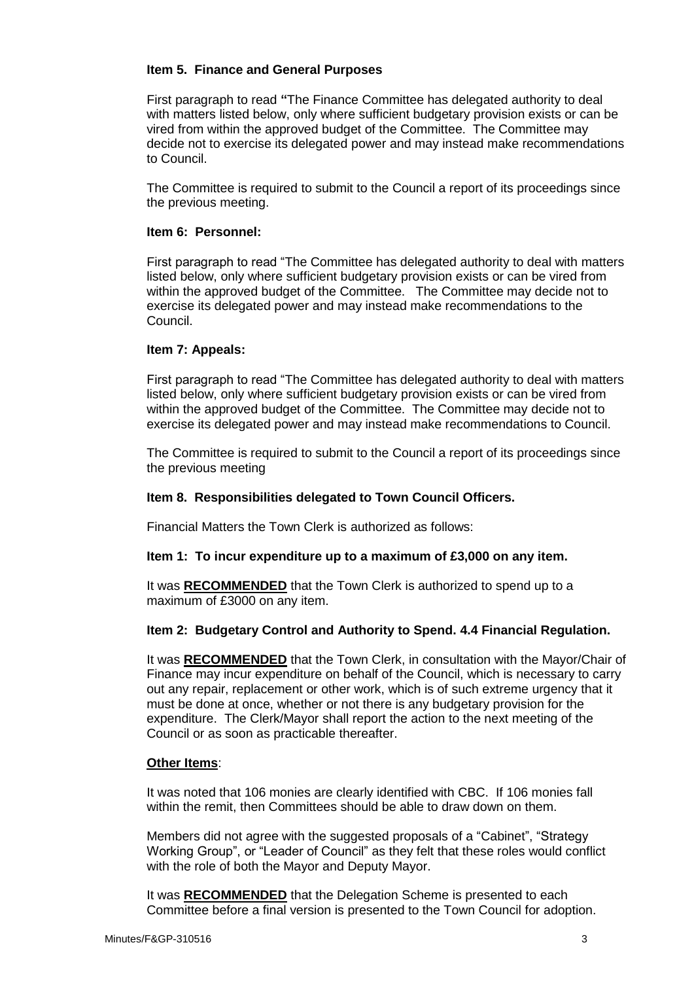# **Item 5. Finance and General Purposes**

First paragraph to read **"**The Finance Committee has delegated authority to deal with matters listed below, only where sufficient budgetary provision exists or can be vired from within the approved budget of the Committee. The Committee may decide not to exercise its delegated power and may instead make recommendations to Council.

The Committee is required to submit to the Council a report of its proceedings since the previous meeting.

### **Item 6: Personnel:**

First paragraph to read "The Committee has delegated authority to deal with matters listed below, only where sufficient budgetary provision exists or can be vired from within the approved budget of the Committee. The Committee may decide not to exercise its delegated power and may instead make recommendations to the Council.

## **Item 7: Appeals:**

First paragraph to read "The Committee has delegated authority to deal with matters listed below, only where sufficient budgetary provision exists or can be vired from within the approved budget of the Committee. The Committee may decide not to exercise its delegated power and may instead make recommendations to Council.

The Committee is required to submit to the Council a report of its proceedings since the previous meeting

# **Item 8. Responsibilities delegated to Town Council Officers.**

Financial Matters the Town Clerk is authorized as follows:

### **Item 1: To incur expenditure up to a maximum of £3,000 on any item.**

It was **RECOMMENDED** that the Town Clerk is authorized to spend up to a maximum of £3000 on any item.

### **Item 2: Budgetary Control and Authority to Spend. 4.4 Financial Regulation.**

It was **RECOMMENDED** that the Town Clerk, in consultation with the Mayor/Chair of Finance may incur expenditure on behalf of the Council, which is necessary to carry out any repair, replacement or other work, which is of such extreme urgency that it must be done at once, whether or not there is any budgetary provision for the expenditure. The Clerk/Mayor shall report the action to the next meeting of the Council or as soon as practicable thereafter.

### **Other Items**:

It was noted that 106 monies are clearly identified with CBC. If 106 monies fall within the remit, then Committees should be able to draw down on them.

Members did not agree with the suggested proposals of a "Cabinet", "Strategy Working Group", or "Leader of Council" as they felt that these roles would conflict with the role of both the Mayor and Deputy Mayor.

It was **RECOMMENDED** that the Delegation Scheme is presented to each Committee before a final version is presented to the Town Council for adoption.